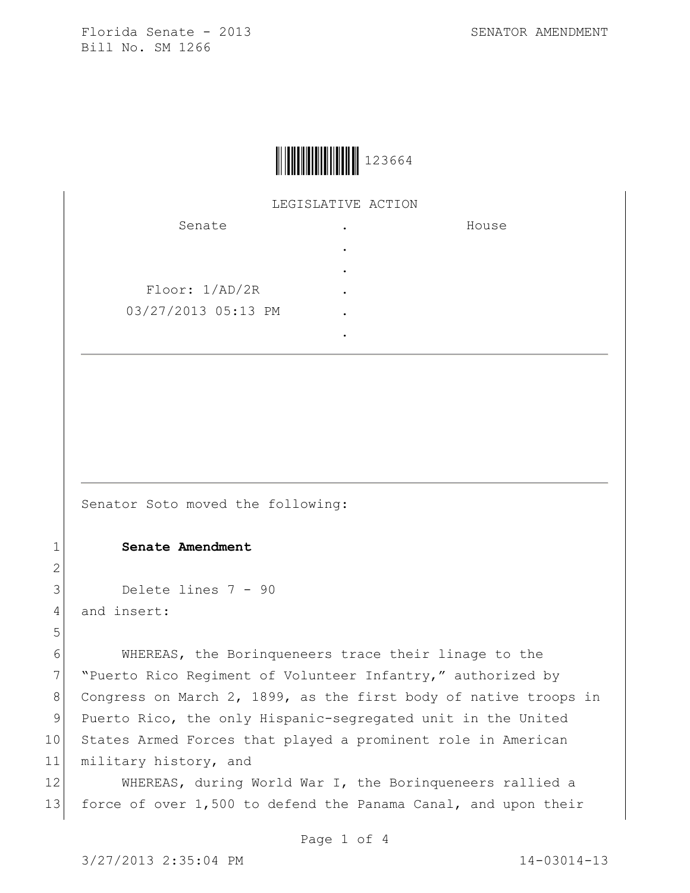

## LEGISLATIVE ACTION

| Senate              | ٠ | House |
|---------------------|---|-------|
|                     |   |       |
|                     | ٠ |       |
| Floor: 1/AD/2R      | ٠ |       |
| 03/27/2013 05:13 PM | ٠ |       |
|                     |   |       |

Senator Soto moved the following:

## 1 **Senate Amendment**

```
3 Delete lines 7 - 90
```
4 and insert:

2

5

6 WHEREAS, the Borinqueneers trace their linage to the 7 "Puerto Rico Regiment of Volunteer Infantry," authorized by 8 Congress on March 2, 1899, as the first body of native troops in 9 Puerto Rico, the only Hispanic-segregated unit in the United 10 States Armed Forces that played a prominent role in American 11 military history, and

12 WHEREAS, during World War I, the Borinqueneers rallied a 13 force of over 1,500 to defend the Panama Canal, and upon their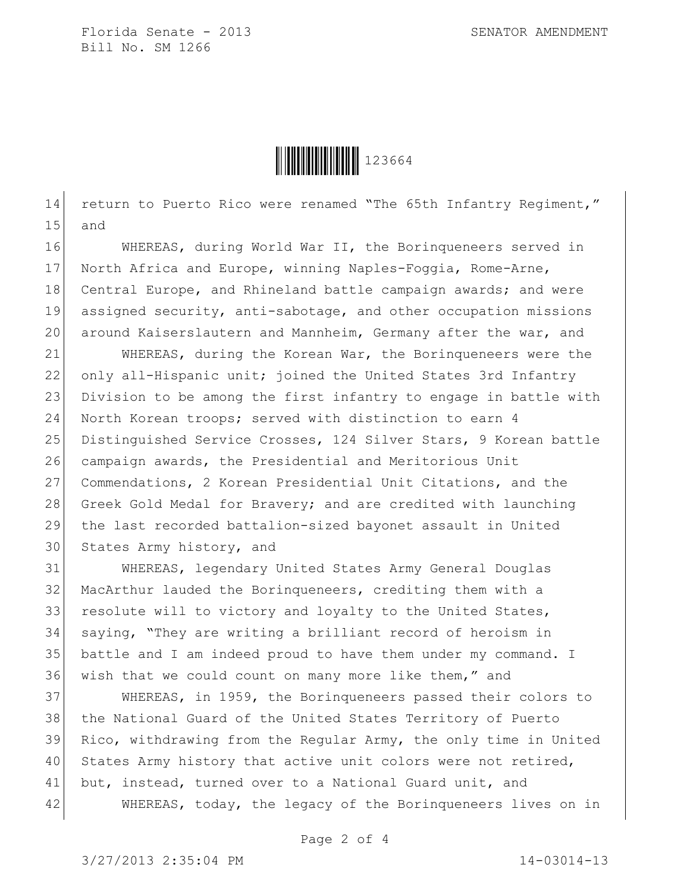

14 return to Puerto Rico were renamed "The 65th Infantry Regiment," 15 and

16 WHEREAS, during World War II, the Borinqueneers served in 17 North Africa and Europe, winning Naples-Foggia, Rome-Arne, 18 Central Europe, and Rhineland battle campaign awards; and were 19 assigned security, anti-sabotage, and other occupation missions 20 around Kaiserslautern and Mannheim, Germany after the war, and

21 WHEREAS, during the Korean War, the Borinqueneers were the 22 only all-Hispanic unit; joined the United States 3rd Infantry 23 Division to be among the first infantry to engage in battle with 24 North Korean troops; served with distinction to earn 4 25 Distinguished Service Crosses, 124 Silver Stars, 9 Korean battle 26 campaign awards, the Presidential and Meritorious Unit 27 Commendations, 2 Korean Presidential Unit Citations, and the 28 Greek Gold Medal for Bravery; and are credited with launching 29 the last recorded battalion-sized bayonet assault in United 30 States Army history, and

 WHEREAS, legendary United States Army General Douglas MacArthur lauded the Borinqueneers, crediting them with a 33 resolute will to victory and loyalty to the United States, saying, "They are writing a brilliant record of heroism in battle and I am indeed proud to have them under my command. I 36 wish that we could count on many more like them," and

 WHEREAS, in 1959, the Borinqueneers passed their colors to the National Guard of the United States Territory of Puerto Rico, withdrawing from the Regular Army, the only time in United 40 States Army history that active unit colors were not retired, 41 but, instead, turned over to a National Guard unit, and WHEREAS, today, the legacy of the Borinqueneers lives on in

Page 2 of 4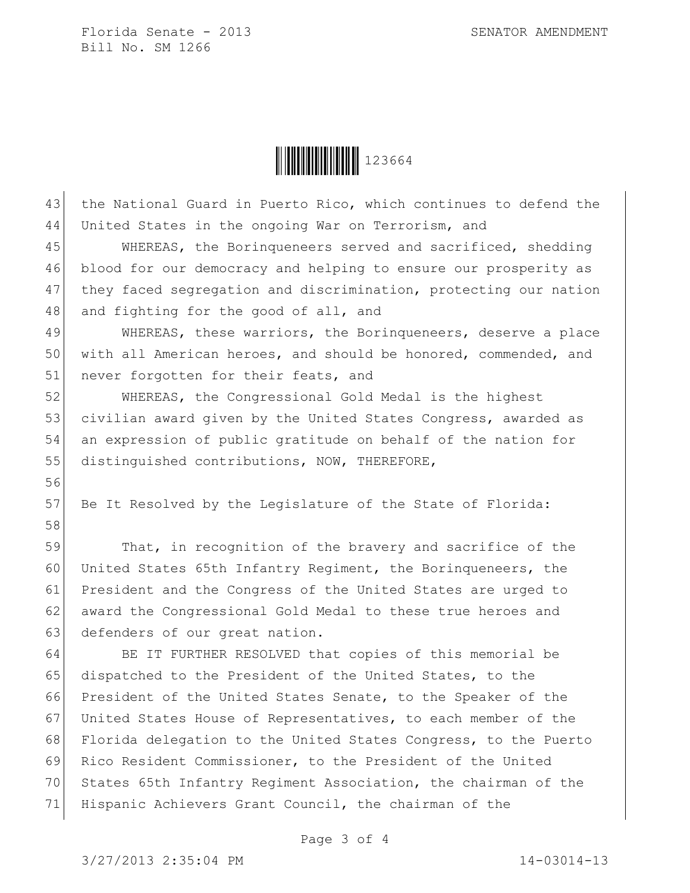

43 the National Guard in Puerto Rico, which continues to defend the

44 United States in the ongoing War on Terrorism, and 45 WHEREAS, the Borinqueneers served and sacrificed, shedding 46 blood for our democracy and helping to ensure our prosperity as 47 they faced segregation and discrimination, protecting our nation 48 and fighting for the good of all, and 49 WHEREAS, these warriors, the Borinqueneers, deserve a place 50 with all American heroes, and should be honored, commended, and 51 never forgotten for their feats, and 52 WHEREAS, the Congressional Gold Medal is the highest 53 civilian award given by the United States Congress, awarded as 54 an expression of public gratitude on behalf of the nation for 55 distinguished contributions, NOW, THEREFORE, 56 57 Be It Resolved by the Legislature of the State of Florida: 58 59 That, in recognition of the bravery and sacrifice of the 60 United States 65th Infantry Regiment, the Borinqueneers, the 61 President and the Congress of the United States are urged to 62 award the Congressional Gold Medal to these true heroes and 63 defenders of our great nation. 64 BE IT FURTHER RESOLVED that copies of this memorial be 65 dispatched to the President of the United States, to the 66 President of the United States Senate, to the Speaker of the 67 United States House of Representatives, to each member of the 68 Florida delegation to the United States Congress, to the Puerto 69 Rico Resident Commissioner, to the President of the United 70 States 65th Infantry Regiment Association, the chairman of the 71 Hispanic Achievers Grant Council, the chairman of the

Page 3 of 4